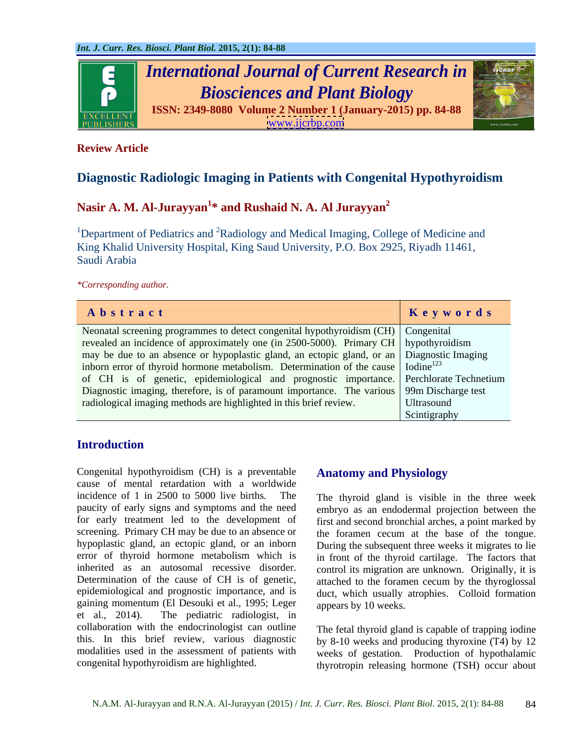

## **Review Article**

# **Diagnostic Radiologic Imaging in Patients with Congenital Hypothyroidism**

# **Nasir A. M. Al-Jurayyan<sup>1</sup> \* and Rushaid N. A. Al Jurayyan<sup>2</sup>**

<sup>1</sup>Department of Pediatrics and <sup>2</sup>Radiology and Medical Imaging, College of Medicine and King Khalid University Hospital, King Saud University, P.O. Box 2925, Riyadh 11461, Saudi Arabia

*\*Corresponding author.*

| Abstract                                                                                            | Keywords     |
|-----------------------------------------------------------------------------------------------------|--------------|
| Neonatal screening programmes to detect congenital hypothyroidism (CH) Congenital                   |              |
| revealed an incidence of approximately one (in $2500-5000$ ). Primary CH hypothyroidism             |              |
| may be due to an absence or hypoplastic gland, an ectopic gland, or an Diagnostic Imaging           |              |
| inborn error of thyroid hormone metabolism. Determination of the cause $\int$ Iodine <sup>123</sup> |              |
| of CH is of genetic, epidemiological and prognostic importance. Perchlorate Technetium              |              |
| Diagnostic imaging, therefore, is of paramount importance. The various 99m Discharge test           |              |
| radiological imaging methods are highlighted in this brief review.                                  | Ultrasound   |
|                                                                                                     | Scintigraphy |

## **Introduction**

Congenital hypothyroidism (CH) is a preventable cause of mental retardation with a worldwide incidence of 1 in 2500 to 5000 live births. The The thyroid gland is visible in the three week paucity of early signs and symptoms and the need for early treatment led to the development of screening. Primary CH may be due to an absence or the foramen cecum at the base of the tongue. hypoplastic gland, an ectopic gland, or an inborn During the subsequent three weeks it migrates to lie error of thyroid hormone metabolism which is in front of the thyroid cartilage. The factors that inherited as an autosomal recessive disorder. control its migration are unknown. Originally, it is Determination of the cause of CH is of genetic, epidemiological and prognostic importance, and is gaining momentum (El Desouki et al., 1995; Leger et al., 2014). The pediatric radiologist, in collaboration with the endocrinologist can outline this. In this brief review, various diagnostic modalities used in the assessment of patients with weeks of gestation. Production of hypothalamic

## **Anatomy and Physiology**

embryo as an endodermal projection between the first and second bronchial arches, a point marked by attached to the foramen cecum by the thyroglossal duct, which usually atrophies. Colloid formation appears by 10 weeks.

congenital hypothyroidism are highlighted. thyrotropin releasing hormone (TSH) occur about The fetal thyroid gland is capable of trapping iodine by 8-10 weeks and producing thyroxine (T4) by 12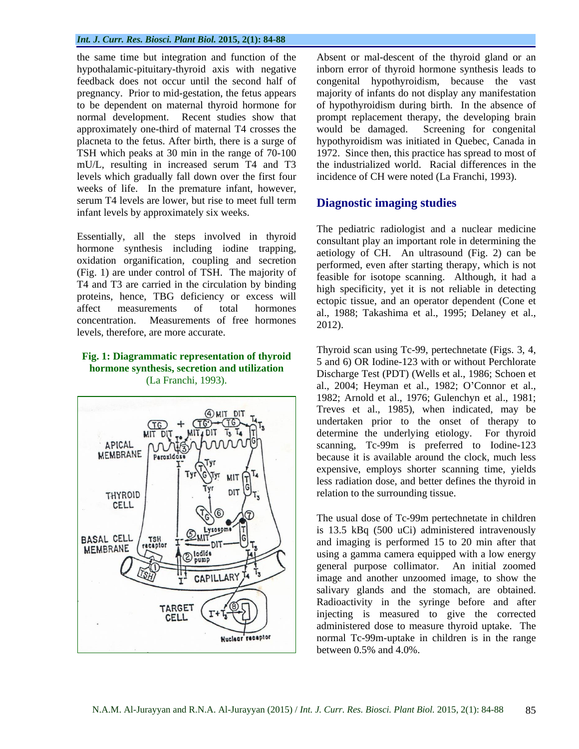#### *Int. J. Curr. Res. Biosci. Plant Biol.* **2015, 2(1): 84-88**

normal development. Recent studies show that approximately one-third of maternal T4 crosses the would be damaged. Screening for congenital TSH which peaks at 30 min in the range of 70-100 mU/L, resulting in increased serum T4 and T3 levels which gradually fall down over the first four weeks of life. In the premature infant, however, serum T4 levels are lower, but rise to meet full term infant levels by approximately six weeks.

Essentially, all the steps involved in thyroid hormone synthesis including iodine trapping, oxidation organification, coupling and secretion (Fig. 1) are under control of TSH. The majority of T4 and T3 are carried in the circulation by binding proteins, hence, TBG deficiency or excess will concentration. Measurements of free normones 2012).<br>levels, therefore, are more accurate.

# **hormone synthesis, secretion and utilization**



the same time but integration and function of the Absent or mal-descent of the thyroid gland or an hypothalamic-pituitary-thyroid axis with negative inborn error of thyroid hormone synthesis leads to feedback does not occur until the second half of congenital hypothyroidism, because the vast pregnancy. Prior to mid-gestation, the fetus appears majority of infants do not display any manifestation to be dependent on maternal thyroid hormone for of hypothyroidism during birth. In the absence of placneta to the fetus. After birth, there is a surge of hypothyroidism was initiated in Quebec, Canada in prompt replacement therapy, the developing brain would be damaged. Screening for congenital 1972. Since then, this practice has spread to most of the industrialized world. Racial differences in the incidence of CH were noted (La Franchi, 1993).

#### **Diagnostic imaging studies**

affect measurements of total hormones al., 1988; Takashima et al., 1995; Delaney et al., concentration. Measurements of free hormones  $\frac{a}{2012}$ The pediatric radiologist and a nuclear medicine consultant play an important role in determining the aetiology of CH. An ultrasound (Fig. 2) can be performed, even after starting therapy, which is not feasible for isotope scanning. Although, it had a high specificity, yet it is not reliable in detecting ectopic tissue, and an operator dependent (Cone et 2012).

**Fig. 1: Diagrammatic representation of thyroid** Thyroid scan using Tc-99, pertechnetate (Figs. 3, 4, 5 and 6) OR Iodine-123 with or without Perchlorate (La Franchi, 1993). Bisenarge Test  $(121)$  (Went of al., 1980; Senoen et al., 1981) Thyroid scan using Tc-99, pertechnetate (Figs. 3, 4, 5 and 6) OR Iodine-123 with or without Perchlorate Discharge Test (PDT) (Wells et al., 1986; Schoen et 1982; Arnold et al., 1976; Gulenchyn et al., 1981; Treves et al., 1985), when indicated, may be undertaken prior to the onset of therapy to determine the underlying etiology. For thyroid scanning, Tc-99m is preferred to Iodine-123 because it is available around the clock, much less expensive, employs shorter scanning time, yields less radiation dose, and better defines the thyroid in relation to the surrounding tissue.

> The usual dose of Tc-99m pertechnetate in children is 13.5 kBq (500 uCi) administered intravenously and imaging is performed 15 to 20 min after that using a gamma camera equipped with a low energy general purpose collimator. An initial zoomed image and another unzoomed image, to show the salivary glands and the stomach, are obtained. Radioactivity in the syringe before and after injecting is measured to give the corrected administered dose to measure thyroid uptake. The normal Tc-99m-uptake in children is in the range between 0.5% and 4.0%.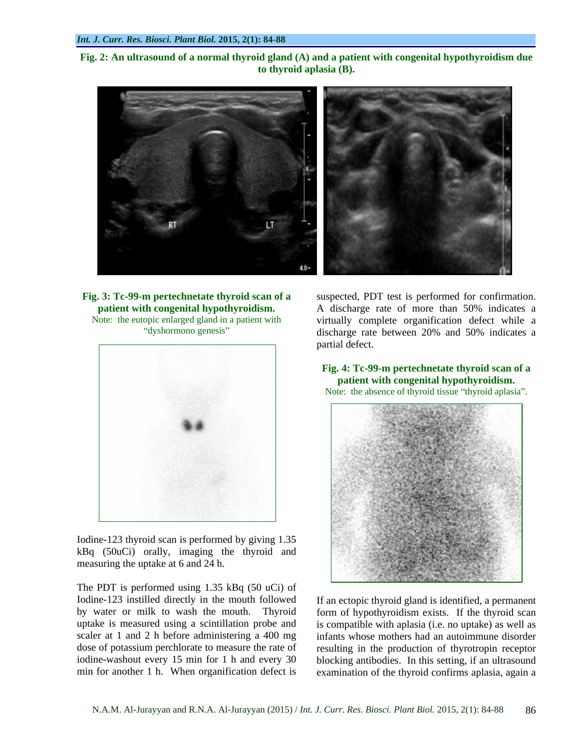**Fig. 2: An ultrasound of a normal thyroid gland (A) and a patient with congenital hypothyroidism due to thyroid aplasia (B).**





Iodine-123 thyroid scan is performed by giving 1.35 kBq (50uCi) orally, imaging the thyroid and measuring the uptake at 6 and 24 h.

The PDT is performed using 1.35 kBq (50 uCi) of

**Fig. 3: Tc-99-m pertechnetate thyroid scan of a**  suspected, PDT test is performed for confirmation. **patient with congenital hypothyroidism.** A discharge rate of more than 50% indicates a Note: the eutopic enlarged gland in a patient with virtually complete organification defect while a dyshormono genesis discharge rate between 20% and 50% indicates a partial defect.

> **Fig. 4: Tc-99-m pertechnetate thyroid scan of a patient with congenital hypothyroidism.** Note: the absence of thyroid tissue "thyroid aplasia".



Iodine-123 instilled directly in the mouth followed If an ectopic thyroid gland is identified, a permanent by water or milk to wash the mouth. Thyroid form of hypothyroidism exists. If the thyroid scan uptake is measured using a scintillation probe and is compatible with aplasia (i.e. no uptake) as well as scaler at 1 and 2 h before administering a 400 mg infants whose mothers had an autoimmune disorder dose of potassium perchlorate to measure the rate of resulting in the production of thyrotropin receptor iodine-washout every 15 min for 1 h and every 30 blocking antibodies. In this setting, if an ultrasound min for another 1 h. When organification defect is examination of the thyroid confirms aplasia, again a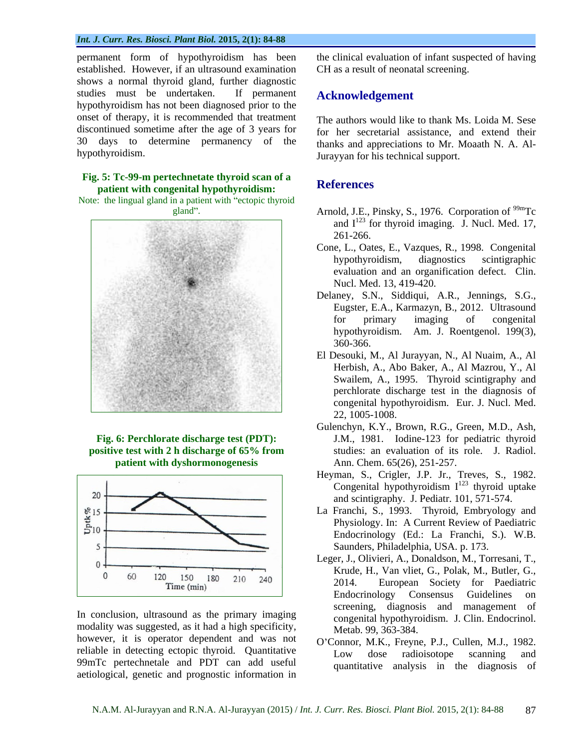#### *Int. J. Curr. Res. Biosci. Plant Biol.* **2015, 2(1): 84-88**

permanent form of hypothyroidism has been established. However, if an ultrasound examination shows a normal thyroid gland, further diagnostic studies must be undertaken. If permanent hypothyroidism has not been diagnosed prior to the onset of therapy, it is recommended that treatment discontinued sometime after the age of 3 years for 30 days to determine permanency of the

#### **Fig. 5: Tc-99-m pertechnetate thyroid scan of a patient with congenital hypothyroidism:**

Note: the lingual gland in a patient with "ectopic thyroid



**patient with dyshormonogenesis**



modality was suggested, as it had a high specificity, however, it is operator dependent and was not reliable in detecting ectopic thyroid. Quantitative Low dose radioisotope scanning and 99mTc pertechnetale and PDT can add useful aetiological, genetic and prognostic information in

the clinical evaluation of infant suspected of having CH as a result of neonatal screening.

### **Acknowledgement**

hypothyroidism. Jurayyan for his technical support. The authors would like to thank Ms. Loida M. Sese for her secretarial assistance, and extend their thanks and appreciations to Mr. Moaath N. A. Al-

### **References**

- gland". Arnold, J.E., Pinsky, S., 1976. Corporation of <sup>99m</sup>Tc and  $I^{123}$  for thyroid imaging. J. Nucl. Med. 17, 261-266.
	- Cone, L., Oates, E., Vazques, R., 1998. Congenital hypothyroidism, diagnostics scintigraphic evaluation and an organification defect. Clin. Nucl. Med. 13, 419-420.
	- Delaney, S.N., Siddiqui, A.R., Jennings, S.G., Eugster, E.A., Karmazyn, B., 2012. Ultrasound for primary imaging of congenital hypothyroidism. Am. J. Roentgenol. 199(3), 360-366.
	- El Desouki, M., Al Jurayyan, N., Al Nuaim, A., Al Herbish, A., Abo Baker, A., Al Mazrou, Y., Al Swailem, A., 1995. Thyroid scintigraphy and perchlorate discharge test in the diagnosis of congenital hypothyroidism. Eur. J. Nucl. Med. 22, 1005-1008.
- **Fig. 6: Perchlorate discharge test (PDT):**  J.M., 1981. Iodine-123 for pediatric thyroid **positive test with 2 h discharge of 65% from**  studies: an evaluation of its role. J. Radiol. Gulenchyn, K.Y., Brown, R.G., Green, M.D., Ash, Ann. Chem. 65(26), 251-257.
	- Heyman, S., Crigler, J.P. Jr., Treves, S., 1982. Congenital hypothyroidism  $I^{123}$  thyroid uptake and scintigraphy. J. Pediatr. 101, 571-574.
	- La Franchi, S., 1993. Thyroid, Embryology and Physiology. In: A Current Review of Paediatric Endocrinology (Ed.: La Franchi, S.). W.B. Saunders, Philadelphia, USA. p. 173.
- In conclusion, ultrasound as the primary imaging<br>In concening, diagnosis and management of<br>concenital bypothyroidism I Clin Endocrinol Leger, J., Olivieri, A., Donaldson, M., Torresani, T., Krude, H., Van vliet, G., Polak, M., Butler, G., 2014. European Society for Paediatric Endocrinology Consensus Guidelines on screening, diagnosis and management of congenital hypothyroidism. J. Clin. Endocrinol. Metab. 99, 363-384.
	- O'Connor, M.K., Freyne, P.J., Cullen, M.J., 1982. Low dose radioisotope scanning and quantitative analysis in the diagnosis of